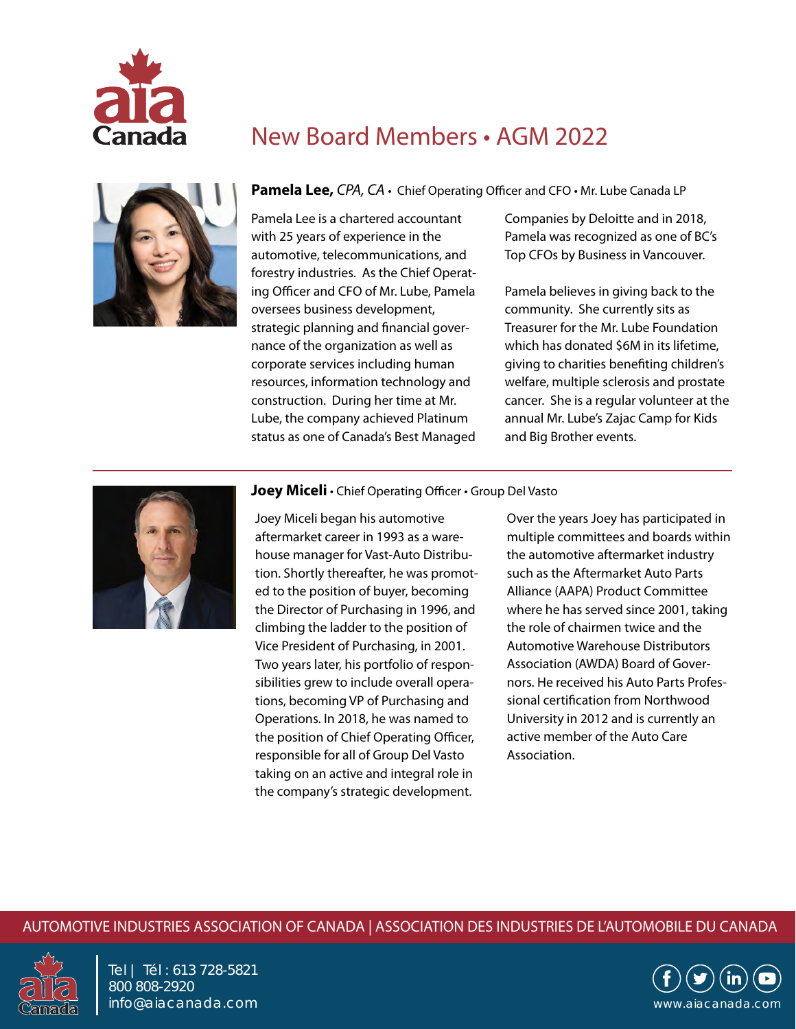

# New Board Members • AGM 2022



#### Pamela Lee, CPA, CA · Chief Operating Officer and CFO · Mr. Lube Canada LP

Pamela Lee is a chartered accountant with 25 years of experience in the automotive, telecommunications, and forestry industries. As the Chief Operating Officer and CFO of Mr. Lube, Pamela oversees business development, strategic planning and financial governance of the organization as well as corporate services including human resources, information technology and construction. During her time at Mr. Lube, the company achieved Platinum status as one of Canada's Best Managed

Companies by Deloitte and in 2018, Pamela was recognized as one of BC's Top CFOs by Business in Vancouver.

Pamela believes in giving back to the community. She currently sits as Treasurer for the Mr. Lube Foundation which has donated \$6M in its lifetime, giving to charities benefiting children's welfare, multiple sclerosis and prostate cancer. She is a regular volunteer at the annual Mr. Lube's Zajac Camp for Kids and Big Brother events.



#### **Joey Miceli** • Chief Operating Officer • Group Del Vasto

Joey Miceli began his automotive aftermarket career in 1993 as a warehouse manager for Vast-Auto Distribution. Shortly thereafter, he was promoted to the position of buyer, becoming the Director of Purchasing in 1996, and climbing the ladder to the position of Vice President of Purchasing, in 2001. Two years later, his portfolio of responsibilities grew to include overall operations, becoming VP of Purchasing and Operations. In 2018, he was named to the position of Chief Operating Officer, responsible for all of Group Del Vasto taking on an active and integral role in the company's strategic development.

Over the years Joey has participated in multiple committees and boards within the automotive aftermarket industry such as the Aftermarket Auto Parts Alliance (AAPA) Product Committee where he has served since 2001, taking the role of chairmen twice and the Automotive Warehouse Distributors Association (AWDA) Board of Governors. He received his Auto Parts Professional certification from Northwood University in 2012 and is currently an active member of the Auto Care Association.

#### AUTOMOTIVE INDUSTRIES ASSOCIATION OF CANADA | ASSOCIATION DES INDUSTRIES DE L'AUTOMOBILE DU CANADA



Tel | Tél : 613 728-5821 800 808-2920 info@aiacanada.com